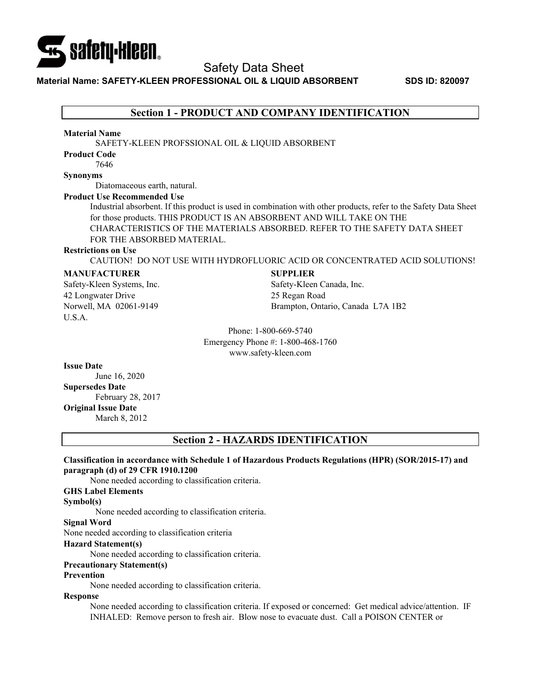

Safety Data Sheet

# **Material Name: SAFETY-KLEEN PROFESSIONAL OIL & LIQUID ABSORBENT SDS ID: 820097**

# **Section 1 - PRODUCT AND COMPANY IDENTIFICATION**

### **Material Name**

SAFETY-KLEEN PROFSSIONAL OIL & LIQUID ABSORBENT

# **Product Code**

7646

# **Synonyms**

Diatomaceous earth, natural.

# **Product Use Recommended Use**

Industrial absorbent. If this product is used in combination with other products, refer to the Safety Data Sheet for those products. THIS PRODUCT IS AN ABSORBENT AND WILL TAKE ON THE CHARACTERISTICS OF THE MATERIALS ABSORBED. REFER TO THE SAFETY DATA SHEET FOR THE ABSORBED MATERIAL.

#### **Restrictions on Use**

CAUTION! DO NOT USE WITH HYDROFLUORIC ACID OR CONCENTRATED ACID SOLUTIONS!

### **MANUFACTURER**

Safety-Kleen Systems, Inc. 42 Longwater Drive Norwell, MA 02061-9149 U.S.A.

### **SUPPLIER**

Safety-Kleen Canada, Inc. 25 Regan Road Brampton, Ontario, Canada L7A 1B2

Phone: 1-800-669-5740 Emergency Phone #: 1-800-468-1760 www.safety-kleen.com

#### **Issue Date**

June 16, 2020

# **Supersedes Date**

February 28, 2017 **Original Issue Date** 

March 8, 2012

# **Section 2 - HAZARDS IDENTIFICATION**

# **Classification in accordance with Schedule 1 of Hazardous Products Regulations (HPR) (SOR/2015-17) and paragraph (d) of 29 CFR 1910.1200**

None needed according to classification criteria.

### **GHS Label Elements**

#### **Symbol(s)**

None needed according to classification criteria.

# **Signal Word**

None needed according to classification criteria

#### **Hazard Statement(s)**

None needed according to classification criteria.

### **Precautionary Statement(s)**

#### **Prevention**

None needed according to classification criteria.

# **Response**

None needed according to classification criteria. If exposed or concerned: Get medical advice/attention. IF INHALED: Remove person to fresh air. Blow nose to evacuate dust. Call a POISON CENTER or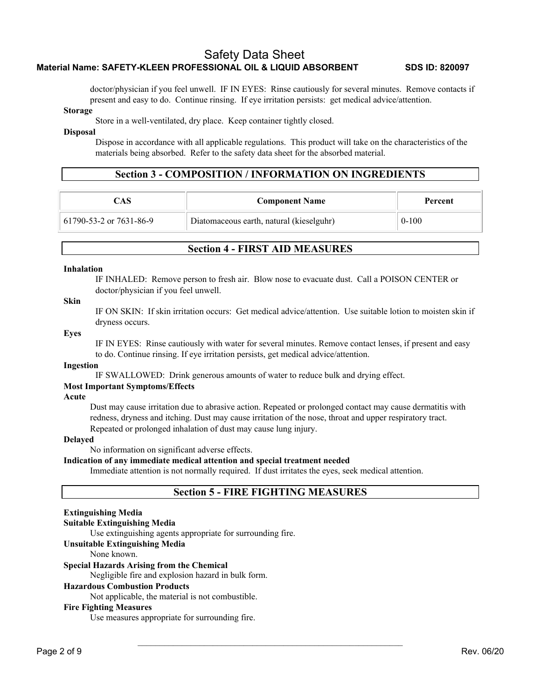doctor/physician if you feel unwell. IF IN EYES: Rinse cautiously for several minutes. Remove contacts if present and easy to do. Continue rinsing. If eye irritation persists: get medical advice/attention.

#### **Storage**

Store in a well-ventilated, dry place. Keep container tightly closed.

#### **Disposal**

Dispose in accordance with all applicable regulations. This product will take on the characteristics of the materials being absorbed. Refer to the safety data sheet for the absorbed material.

# **Section 3 - COMPOSITION / INFORMATION ON INGREDIENTS**

| CAS.                    | <b>Component Name</b>                    | Percent   |
|-------------------------|------------------------------------------|-----------|
| 61790-53-2 or 7631-86-9 | Diatomaceous earth, natural (kieselguhr) | $0 - 100$ |

# **Section 4 - FIRST AID MEASURES**

### **Inhalation**

IF INHALED: Remove person to fresh air. Blow nose to evacuate dust. Call a POISON CENTER or doctor/physician if you feel unwell.

# **Skin**

IF ON SKIN: If skin irritation occurs: Get medical advice/attention. Use suitable lotion to moisten skin if dryness occurs.

#### **Eyes**

IF IN EYES: Rinse cautiously with water for several minutes. Remove contact lenses, if present and easy to do. Continue rinsing. If eye irritation persists, get medical advice/attention.

#### **Ingestion**

IF SWALLOWED: Drink generous amounts of water to reduce bulk and drying effect.

### **Most Important Symptoms/Effects**

**Acute** 

Dust may cause irritation due to abrasive action. Repeated or prolonged contact may cause dermatitis with redness, dryness and itching. Dust may cause irritation of the nose, throat and upper respiratory tract. Repeated or prolonged inhalation of dust may cause lung injury.

#### **Delayed**

No information on significant adverse effects.

**Indication of any immediate medical attention and special treatment needed** 

Immediate attention is not normally required. If dust irritates the eyes, seek medical attention.

# **Section 5 - FIRE FIGHTING MEASURES**

 $\mathcal{L}_\text{max}$  and the contract of the contract of the contract of the contract of the contract of the contract of

# **Extinguishing Media**

#### **Suitable Extinguishing Media**

Use extinguishing agents appropriate for surrounding fire.

# **Unsuitable Extinguishing Media**

None known.

#### **Special Hazards Arising from the Chemical**

Negligible fire and explosion hazard in bulk form.

# **Hazardous Combustion Products**

Not applicable, the material is not combustible.

# **Fire Fighting Measures**

Use measures appropriate for surrounding fire.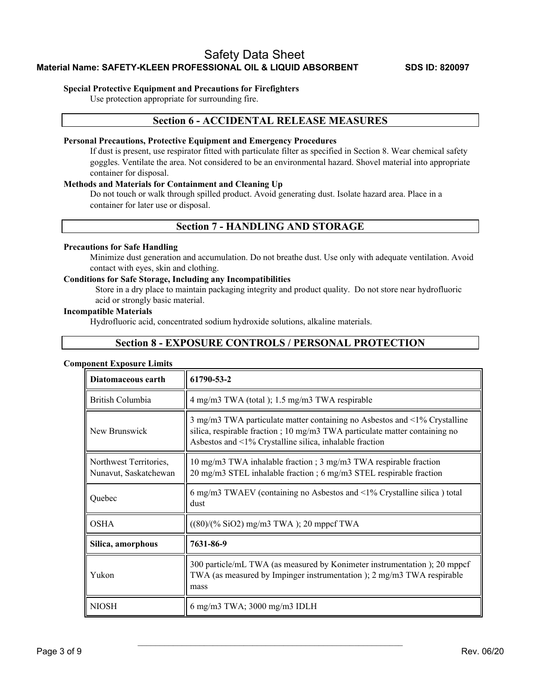# **Special Protective Equipment and Precautions for Firefighters**

Use protection appropriate for surrounding fire.

# **Section 6 - ACCIDENTAL RELEASE MEASURES**

# **Personal Precautions, Protective Equipment and Emergency Procedures**

If dust is present, use respirator fitted with particulate filter as specified in Section 8. Wear chemical safety goggles. Ventilate the area. Not considered to be an environmental hazard. Shovel material into appropriate container for disposal.

# **Methods and Materials for Containment and Cleaning Up**

Do not touch or walk through spilled product. Avoid generating dust. Isolate hazard area. Place in a container for later use or disposal.

# **Section 7 - HANDLING AND STORAGE**

# **Precautions for Safe Handling**

Minimize dust generation and accumulation. Do not breathe dust. Use only with adequate ventilation. Avoid contact with eyes, skin and clothing.

# **Conditions for Safe Storage, Including any Incompatibilities**

Store in a dry place to maintain packaging integrity and product quality. Do not store near hydrofluoric acid or strongly basic material.

# **Incompatible Materials**

Hydrofluoric acid, concentrated sodium hydroxide solutions, alkaline materials.

# **Section 8 - EXPOSURE CONTROLS / PERSONAL PROTECTION**

### **Component Exposure Limits**

| Diatomaceous earth                              | 61790-53-2                                                                                                                                                                                                               |
|-------------------------------------------------|--------------------------------------------------------------------------------------------------------------------------------------------------------------------------------------------------------------------------|
| British Columbia                                | 4 mg/m3 TWA (total); 1.5 mg/m3 TWA respirable                                                                                                                                                                            |
| New Brunswick                                   | 3 mg/m3 TWA particulate matter containing no Asbestos and $\leq$ 1% Crystalline<br>silica, respirable fraction; 10 mg/m3 TWA particulate matter containing no<br>Asbestos and <1% Crystalline silica, inhalable fraction |
| Northwest Territories,<br>Nunavut, Saskatchewan | 10 mg/m3 TWA inhalable fraction ; 3 mg/m3 TWA respirable fraction<br>20 mg/m3 STEL inhalable fraction; 6 mg/m3 STEL respirable fraction                                                                                  |
| Quebec                                          | 6 mg/m3 TWAEV (containing no Asbestos and <1% Crystalline silica) total<br>dust                                                                                                                                          |
| <b>OSHA</b>                                     | $((80)/(% SiO2) mg/m3 TWA)$ ; 20 mppcf TWA                                                                                                                                                                               |
| Silica, amorphous                               | 7631-86-9                                                                                                                                                                                                                |
| Yukon                                           | 300 particle/mL TWA (as measured by Konimeter instrumentation); 20 mppcf<br>TWA (as measured by Impinger instrumentation); 2 mg/m3 TWA respirable<br>mass                                                                |
| <b>NIOSH</b>                                    | 6 mg/m3 TWA; 3000 mg/m3 IDLH                                                                                                                                                                                             |

 $\mathcal{L}_\text{max}$  and the contract of the contract of the contract of the contract of the contract of the contract of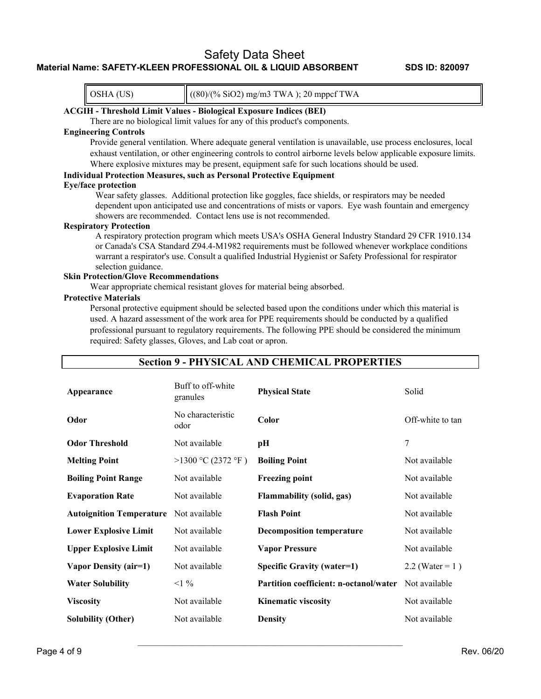OSHA (US)  $\|(80)/(% \text{SiO2}) \text{ mg/m3 TWA}$  ); 20 mppcf TWA

# **ACGIH - Threshold Limit Values - Biological Exposure Indices (BEI)**

There are no biological limit values for any of this product's components.

# **Engineering Controls**

Provide general ventilation. Where adequate general ventilation is unavailable, use process enclosures, local exhaust ventilation, or other engineering controls to control airborne levels below applicable exposure limits. Where explosive mixtures may be present, equipment safe for such locations should be used.

# **Individual Protection Measures, such as Personal Protective Equipment Eye/face protection**

Wear safety glasses. Additional protection like goggles, face shields, or respirators may be needed dependent upon anticipated use and concentrations of mists or vapors. Eye wash fountain and emergency showers are recommended. Contact lens use is not recommended.

#### **Respiratory Protection**

A respiratory protection program which meets USA's OSHA General Industry Standard 29 CFR 1910.134 or Canada's CSA Standard Z94.4-M1982 requirements must be followed whenever workplace conditions warrant a respirator's use. Consult a qualified Industrial Hygienist or Safety Professional for respirator selection guidance.

# **Skin Protection/Glove Recommendations**

Wear appropriate chemical resistant gloves for material being absorbed.

# **Protective Materials**

Personal protective equipment should be selected based upon the conditions under which this material is used. A hazard assessment of the work area for PPE requirements should be conducted by a qualified professional pursuant to regulatory requirements. The following PPE should be considered the minimum required: Safety glasses, Gloves, and Lab coat or apron.

| Appearance                      | Buff to off-white<br>granules | <b>Physical State</b>                         | Solid               |
|---------------------------------|-------------------------------|-----------------------------------------------|---------------------|
| Odor                            | No characteristic<br>odor     | Color                                         | Off-white to tan    |
| <b>Odor Threshold</b>           | Not available                 | pН                                            | 7                   |
| <b>Melting Point</b>            | >1300 °C (2372 °F)            | <b>Boiling Point</b>                          | Not available       |
| <b>Boiling Point Range</b>      | Not available                 | <b>Freezing point</b>                         | Not available       |
| <b>Evaporation Rate</b>         | Not available                 | <b>Flammability (solid, gas)</b>              | Not available       |
| <b>Autoignition Temperature</b> | Not available                 | <b>Flash Point</b>                            | Not available       |
| <b>Lower Explosive Limit</b>    | Not available                 | <b>Decomposition temperature</b>              | Not available       |
| <b>Upper Explosive Limit</b>    | Not available                 | <b>Vapor Pressure</b>                         | Not available       |
| Vapor Density (air=1)           | Not available                 | <b>Specific Gravity (water=1)</b>             | 2.2 (Water = $1)$ ) |
| <b>Water Solubility</b>         | $<1\%$                        | <b>Partition coefficient: n-octanol/water</b> | Not available       |
| <b>Viscosity</b>                | Not available                 | <b>Kinematic viscosity</b>                    | Not available       |
| <b>Solubility (Other)</b>       | Not available                 | <b>Density</b>                                | Not available       |

 $\mathcal{L}_\text{max}$  and the contract of the contract of the contract of the contract of the contract of the contract of

# **Section 9 - PHYSICAL AND CHEMICAL PROPERTIES**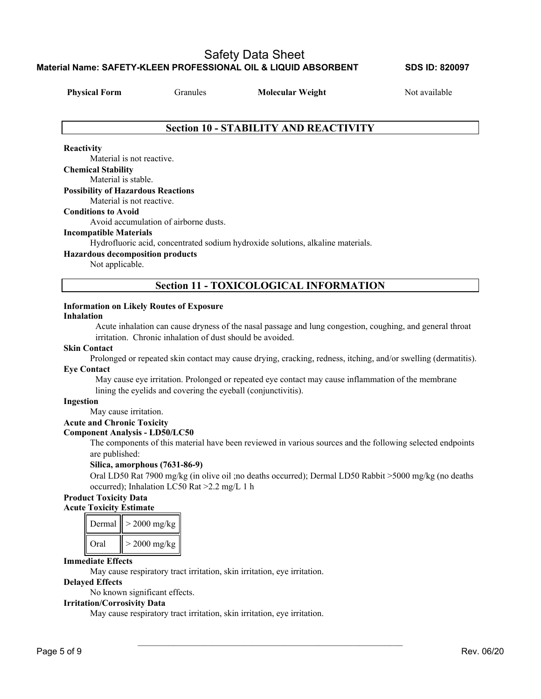**Physical Form** Granules **Molecular Weight** Not available

# **Section 10 - STABILITY AND REACTIVITY**

# **Reactivity**

Material is not reactive. **Chemical Stability**  Material is stable. **Possibility of Hazardous Reactions**  Material is not reactive. **Conditions to Avoid**  Avoid accumulation of airborne dusts. **Incompatible Materials**  Hydrofluoric acid, concentrated sodium hydroxide solutions, alkaline materials.

# **Hazardous decomposition products**

Not applicable.

**Section 11 - TOXICOLOGICAL INFORMATION** 

# **Information on Likely Routes of Exposure**

# **Inhalation**

Acute inhalation can cause dryness of the nasal passage and lung congestion, coughing, and general throat irritation. Chronic inhalation of dust should be avoided.

# **Skin Contact**

Prolonged or repeated skin contact may cause drying, cracking, redness, itching, and/or swelling (dermatitis).

# **Eye Contact**

May cause eye irritation. Prolonged or repeated eye contact may cause inflammation of the membrane lining the eyelids and covering the eyeball (conjunctivitis).

# **Ingestion**

May cause irritation.

# **Acute and Chronic Toxicity**

# **Component Analysis - LD50/LC50**

The components of this material have been reviewed in various sources and the following selected endpoints are published:

# **Silica, amorphous (7631-86-9)**

Oral LD50 Rat 7900 mg/kg (in olive oil ;no deaths occurred); Dermal LD50 Rabbit >5000 mg/kg (no deaths occurred); Inhalation LC50 Rat >2.2 mg/L 1 h

 $\mathcal{L}_\text{max}$  and the contract of the contract of the contract of the contract of the contract of the contract of

# **Product Toxicity Data Acute Toxicity Estimate**

| Dermal | $> 2000 \text{ mg/kg}$ |
|--------|------------------------|
| Oral   | $>$ 2000 mg/kg         |

# **Immediate Effects**

May cause respiratory tract irritation, skin irritation, eye irritation.

# **Delayed Effects**

No known significant effects.

# **Irritation/Corrosivity Data**

May cause respiratory tract irritation, skin irritation, eye irritation.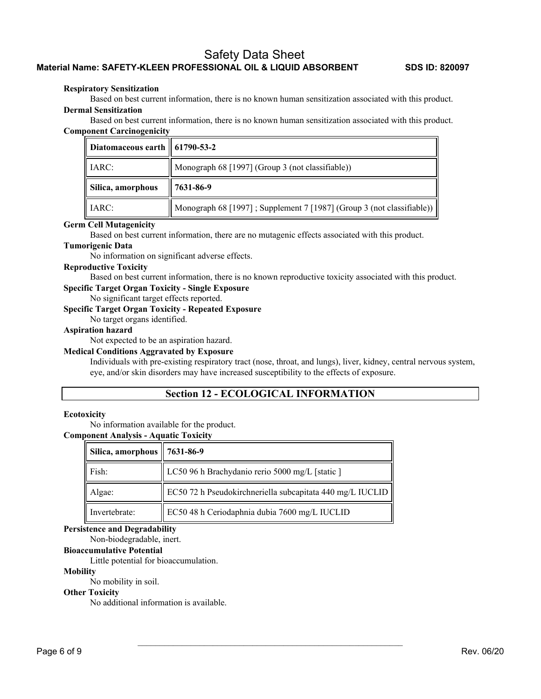### **Respiratory Sensitization**

Based on best current information, there is no known human sensitization associated with this product. **Dermal Sensitization** 

Based on best current information, there is no known human sensitization associated with this product. **Component Carcinogenicity** 

| Diatomaceous earth $\parallel$ 61790-53-2 |                                                                       |
|-------------------------------------------|-----------------------------------------------------------------------|
| IARC:                                     | Monograph 68 [1997] (Group 3 (not classifiable))                      |
| Silica, amorphous                         | 7631-86-9                                                             |
| IARC:                                     | Monograph 68 [1997]; Supplement 7 [1987] (Group 3 (not classifiable)) |

### **Germ Cell Mutagenicity**

Based on best current information, there are no mutagenic effects associated with this product.

# **Tumorigenic Data**

No information on significant adverse effects.

# **Reproductive Toxicity**

Based on best current information, there is no known reproductive toxicity associated with this product.

**Specific Target Organ Toxicity - Single Exposure** 

No significant target effects reported.

# **Specific Target Organ Toxicity - Repeated Exposure**

No target organs identified.

# **Aspiration hazard**

Not expected to be an aspiration hazard.

### **Medical Conditions Aggravated by Exposure**

Individuals with pre-existing respiratory tract (nose, throat, and lungs), liver, kidney, central nervous system, eye, and/or skin disorders may have increased susceptibility to the effects of exposure.

# **Section 12 - ECOLOGICAL INFORMATION**

 $\mathcal{L}_\text{max}$  and the contract of the contract of the contract of the contract of the contract of the contract of

### **Ecotoxicity**

No information available for the product.

# **Component Analysis - Aquatic Toxicity**

| Silica, amorphous $\parallel$ 7631-86-9 |                                                           |
|-----------------------------------------|-----------------------------------------------------------|
| Fish:                                   | LC50 96 h Brachydanio rerio 5000 mg/L [static ]           |
| Algae:                                  | EC50 72 h Pseudokirchneriella subcapitata 440 mg/L IUCLID |
| Invertebrate:                           | EC50 48 h Ceriodaphnia dubia 7600 mg/L IUCLID             |

### **Persistence and Degradability**

Non-biodegradable, inert.

**Bioaccumulative Potential** 

Little potential for bioaccumulation.

### **Mobility**

No mobility in soil.

### **Other Toxicity**

No additional information is available.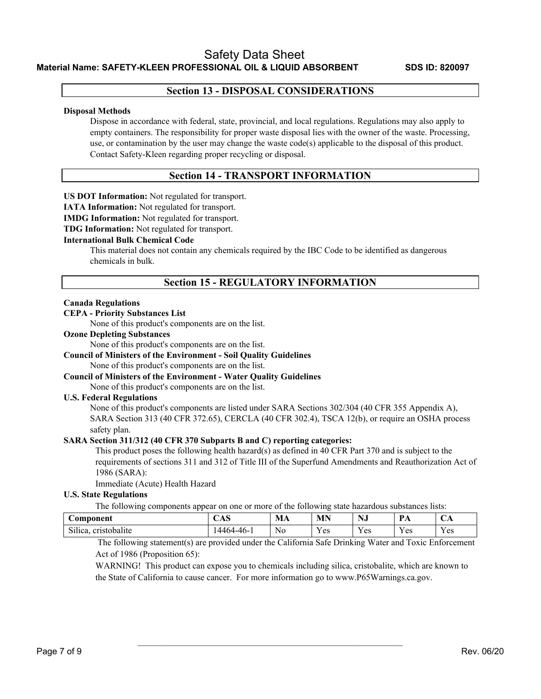# **Section 13 - DISPOSAL CONSIDERATIONS**

### **Disposal Methods**

Dispose in accordance with federal, state, provincial, and local regulations. Regulations may also apply to empty containers. The responsibility for proper waste disposal lies with the owner of the waste. Processing, use, or contamination by the user may change the waste code(s) applicable to the disposal of this product. Contact Safety-Kleen regarding proper recycling or disposal.

# **Section 14 - TRANSPORT INFORMATION**

**US DOT Information:** Not regulated for transport.

**IATA Information:** Not regulated for transport.

**IMDG Information:** Not regulated for transport.

**TDG Information:** Not regulated for transport.

# **International Bulk Chemical Code**

This material does not contain any chemicals required by the IBC Code to be identified as dangerous chemicals in bulk.

# **Section 15 - REGULATORY INFORMATION**

### **Canada Regulations**

# **CEPA - Priority Substances List**

None of this product's components are on the list.

### **Ozone Depleting Substances**

None of this product's components are on the list.

# **Council of Ministers of the Environment - Soil Quality Guidelines**

None of this product's components are on the list.

**Council of Ministers of the Environment - Water Quality Guidelines** 

None of this product's components are on the list.

# **U.S. Federal Regulations**

None of this product's components are listed under SARA Sections 302/304 (40 CFR 355 Appendix A), SARA Section 313 (40 CFR 372.65), CERCLA (40 CFR 302.4), TSCA 12(b), or require an OSHA process safety plan.

# **SARA Section 311/312 (40 CFR 370 Subparts B and C) reporting categories:**

This product poses the following health hazard(s) as defined in 40 CFR Part 370 and is subject to the requirements of sections 311 and 312 of Title III of the Superfund Amendments and Reauthorization Act of 1986 (SARA):

Immediate (Acute) Health Hazard

# **U.S. State Regulations**

The following components appear on one or more of the following state hazardous substances lists:

| bomponent                                    | $\Lambda$ $\mathbb{C}$<br>Δ<br><b>UND</b> | MA | MN                       | $- - -$<br>N.<br>149        | $\overline{\phantom{a}}$<br>. | $\mathbf{u}$   |
|----------------------------------------------|-------------------------------------------|----|--------------------------|-----------------------------|-------------------------------|----------------|
| $\sim$<br>$\cdot$<br>cristobalite<br>Silica. | .4464-46-'                                | No | $ -$<br>$\alpha$ c<br>v3 | $ -$<br>$\alpha$ c<br>1 U.S | $ -$<br>' es<br>-             | $\tau$<br>Y es |

 $\mathcal{L}_\text{max}$  and the contract of the contract of the contract of the contract of the contract of the contract of

 The following statement(s) are provided under the California Safe Drinking Water and Toxic Enforcement Act of 1986 (Proposition 65):

WARNING! This product can expose you to chemicals including silica, cristobalite, which are known to the State of California to cause cancer. For more information go to www.P65Warnings.ca.gov.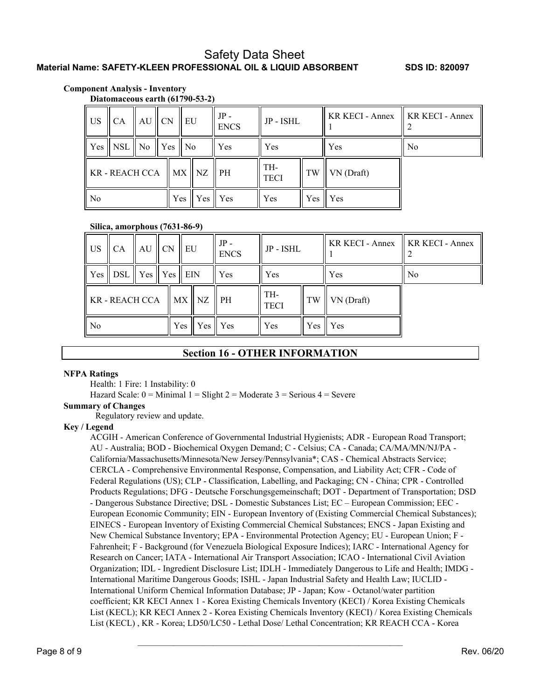# **Component Analysis - Inventory**

**Diatomaceous earth (61790-53-2)**

| ll US-                                                                  | $CA$ $AU$ $CN$                                                             |  |     | EU    | $JP -$<br><b>ENCS</b> | JP - ISHL |            | KR KECI - Annex    KR KECI - Annex |                |
|-------------------------------------------------------------------------|----------------------------------------------------------------------------|--|-----|-------|-----------------------|-----------|------------|------------------------------------|----------------|
|                                                                         | $\parallel$ Yes $\parallel$ NSL $\parallel$ No $\parallel$ Yes $\parallel$ |  |     | ll No | Yes                   | Yes.      |            | <b>Yes</b>                         | N <sub>o</sub> |
| $\parallel$ KR - REACH CCA $\parallel$ MX $\parallel$ NZ $\parallel$ PH |                                                                            |  |     |       | TH-<br><b>TECI</b>    | TW        | VN (Draft) |                                    |                |
| l No                                                                    | $Yes \mid Yes$<br>Yes<br>Yes<br>Yes                                        |  | Yes |       |                       |           |            |                                    |                |

# **Silica, amorphous (7631-86-9)**

| $\overline{\mathsf{U}}$                     | $\mathsf{ICA}$                                                                  | $AU$ CN | $\parallel$ EU |                | $JP -$<br><b>ENCS</b> | JP - ISHL |            | KR KECI - Annex    KR KECI - Annex |                |
|---------------------------------------------|---------------------------------------------------------------------------------|---------|----------------|----------------|-----------------------|-----------|------------|------------------------------------|----------------|
|                                             | $\parallel$ Yes $\parallel$ DSL $\parallel$ Yes $\parallel$ Yes $\parallel$ EIN |         |                |                | Yes                   | Yes.      |            | Yes                                | N <sub>o</sub> |
| $\ $ KR - REACH CCA $\ $ MX $\ $ NZ $\ $ PH |                                                                                 |         |                |                | TH-<br><b>TECI</b>    | TW        | VN (Draft) |                                    |                |
| $\parallel$ No                              |                                                                                 |         | Yes   Yes      | $\mathbf{Yes}$ | <b>Yes</b>            | Yes       | Yes        |                                    |                |

# **Section 16 - OTHER INFORMATION**

### **NFPA Ratings**

Health: 1 Fire: 1 Instability: 0

Hazard Scale:  $0 =$  Minimal  $1 =$  Slight  $2 =$  Moderate  $3 =$  Serious  $4 =$  Severe

### **Summary of Changes**

Regulatory review and update.

# **Key / Legend**

ACGIH - American Conference of Governmental Industrial Hygienists; ADR - European Road Transport; AU - Australia; BOD - Biochemical Oxygen Demand; C - Celsius; CA - Canada; CA/MA/MN/NJ/PA - California/Massachusetts/Minnesota/New Jersey/Pennsylvania\*; CAS - Chemical Abstracts Service; CERCLA - Comprehensive Environmental Response, Compensation, and Liability Act; CFR - Code of Federal Regulations (US); CLP - Classification, Labelling, and Packaging; CN - China; CPR - Controlled Products Regulations; DFG - Deutsche Forschungsgemeinschaft; DOT - Department of Transportation; DSD - Dangerous Substance Directive; DSL - Domestic Substances List; EC – European Commission; EEC - European Economic Community; EIN - European Inventory of (Existing Commercial Chemical Substances); EINECS - European Inventory of Existing Commercial Chemical Substances; ENCS - Japan Existing and New Chemical Substance Inventory; EPA - Environmental Protection Agency; EU - European Union; F - Fahrenheit; F - Background (for Venezuela Biological Exposure Indices); IARC - International Agency for Research on Cancer; IATA - International Air Transport Association; ICAO - International Civil Aviation Organization; IDL - Ingredient Disclosure List; IDLH - Immediately Dangerous to Life and Health; IMDG - International Maritime Dangerous Goods; ISHL - Japan Industrial Safety and Health Law; IUCLID - International Uniform Chemical Information Database; JP - Japan; Kow - Octanol/water partition coefficient; KR KECI Annex 1 - Korea Existing Chemicals Inventory (KECI) / Korea Existing Chemicals List (KECL); KR KECI Annex 2 - Korea Existing Chemicals Inventory (KECI) / Korea Existing Chemicals List (KECL) , KR - Korea; LD50/LC50 - Lethal Dose/ Lethal Concentration; KR REACH CCA - Korea

 $\mathcal{L}_\text{max}$  and the contract of the contract of the contract of the contract of the contract of the contract of